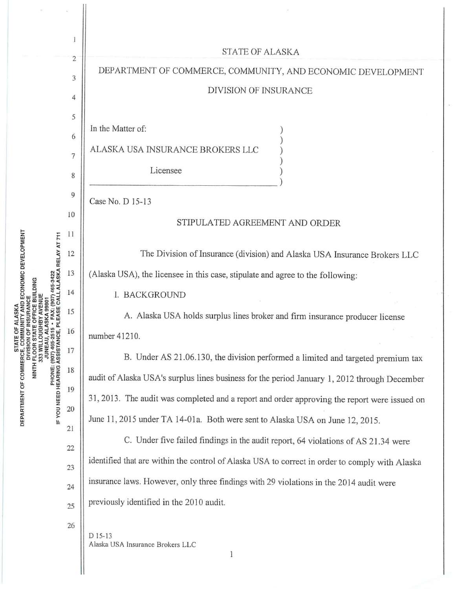|                                                                                                                                                                                                                 |                | <b>STATE OF ALASKA</b>                                                                         |
|-----------------------------------------------------------------------------------------------------------------------------------------------------------------------------------------------------------------|----------------|------------------------------------------------------------------------------------------------|
| ECONOMIC DEVELOPMENT<br>SKA RELAY AT 711<br>DING<br>DEPARTMENT OF COMMERCE, COM<br>DEPARTMENT OF COMMERCE, COM<br>DIVISION (<br>PHONE: (907) 465-2<br>IF YOU NEED HEARING ASSISTANG<br>NINTH FLOOR S'<br>JUNEAU | $\overline{c}$ | DEPARTMENT OF COMMERCE, COMMUNITY, AND ECONOMIC DEVELOPMENT                                    |
|                                                                                                                                                                                                                 | 3              | DIVISION OF INSURANCE                                                                          |
|                                                                                                                                                                                                                 | 4              |                                                                                                |
|                                                                                                                                                                                                                 | 5              | In the Matter of:                                                                              |
|                                                                                                                                                                                                                 | 6              | ALASKA USA INSURANCE BROKERS LLC                                                               |
|                                                                                                                                                                                                                 | 7<br>8         | Licensee                                                                                       |
|                                                                                                                                                                                                                 | 9              |                                                                                                |
|                                                                                                                                                                                                                 | 10             | Case No. D 15-13                                                                               |
|                                                                                                                                                                                                                 | 11             | STIPULATED AGREEMENT AND ORDER                                                                 |
|                                                                                                                                                                                                                 | 12             | The Division of Insurance (division) and Alaska USA Insurance Brokers LLC                      |
|                                                                                                                                                                                                                 | 13             | (Alaska USA), the licensee in this case, stipulate and agree to the following:                 |
|                                                                                                                                                                                                                 | 14             | I. BACKGROUND                                                                                  |
|                                                                                                                                                                                                                 | 15             | A. Alaska USA holds surplus lines broker and firm insurance producer license                   |
|                                                                                                                                                                                                                 | 16             | number 41210.                                                                                  |
|                                                                                                                                                                                                                 | 17             | B. Under AS 21.06.130, the division performed a limited and targeted premium tax               |
|                                                                                                                                                                                                                 | 18             | audit of Alaska USA's surplus lines business for the period January 1, 2012 through December   |
|                                                                                                                                                                                                                 | 19             | 31, 2013. The audit was completed and a report and order approving the report were issued on   |
|                                                                                                                                                                                                                 | 20             | June 11, 2015 under TA 14-01a. Both were sent to Alaska USA on June 12, 2015.                  |
|                                                                                                                                                                                                                 | 21             |                                                                                                |
|                                                                                                                                                                                                                 | 22             | C. Under five failed findings in the audit report, 64 violations of AS 21.34 were              |
|                                                                                                                                                                                                                 | 23             | identified that are within the control of Alaska USA to correct in order to comply with Alaska |
|                                                                                                                                                                                                                 | 24             | insurance laws. However, only three findings with 29 violations in the 2014 audit were         |
|                                                                                                                                                                                                                 | 25             | previously identified in the 2010 audit.                                                       |
|                                                                                                                                                                                                                 | 26             | D 15-13<br>Alaska USA Insurance Brokers LLC<br>1                                               |

 $\epsilon$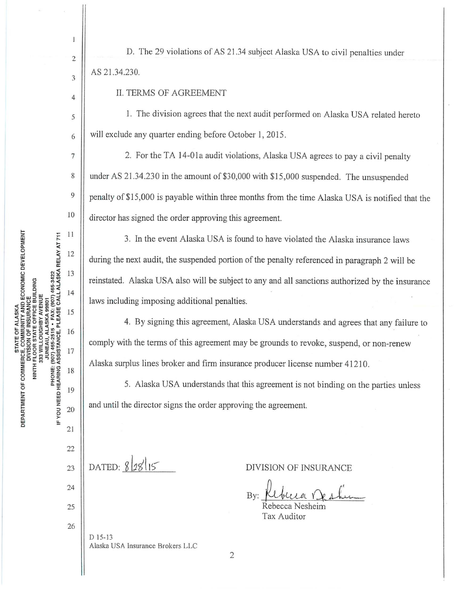$\mathbf{I}$ 

 $\overline{c}$ 

3

 $\overline{4}$ 

5

6

 $\overline{7}$ 

8

9

10

11

12

13

14

15

16

17

18

19

20

21

D. The 29 violations of AS 21.34 subject Alaska USA to civil penalties under AS 21.34.230.

II. TERMS OF AGREEMENT

1. The division agrees that the next audit performed on Alaska USA related hereto will exclude any quarter ending before October 1, 2015.

2. For the TA 14-01a audit violations, Alaska USA agrees to pay a civil penalty under AS 21.34.230 in the amount of \$30,000 with \$15,000 suspended. The unsuspended penalty of \$15,000 is payable within three months from the time Alaska USA is notified that the director has signed the order approving this agreement.

3. In the event Alaska USA is found to have violated the Alaska insurance laws during the next audit, the suspended portion of the penalty referenced in paragraph 2 will be reinstated. Alaska USA also will be subject to any and all sanctions authorized by the insurance laws including imposing additional penalties.

4. By signing this agreement, Alaska USA understands and agrees that any failure to comply with the terms of this agreement may be grounds to revoke, suspend, or non-renew Alaska surplus lines broker and firm insurance producer license number 41210.

5. Alaska USA understands that this agreement is not binding on the parties unless and until the director signs the order approving the agreement.

22 DATED:  $8|28|15$ 23 24 25 26  $D$  15-13

**DIVISION OF INSURANCE** 

By:

Tax Auditor

Alaska USA Insurance Brokers LLC